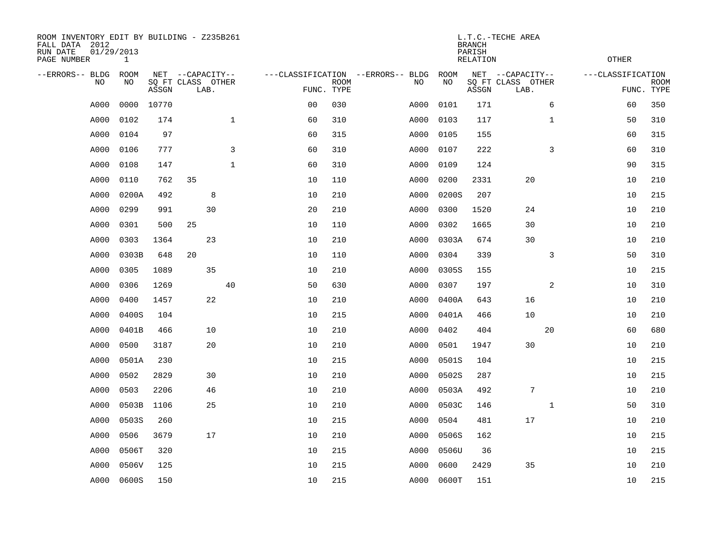| ROOM INVENTORY EDIT BY BUILDING - Z235B261<br>FALL DATA 2012<br>RUN DATE<br>PAGE NUMBER | 01/29/2013<br>$\mathbf{1}$ |       |                                               |             |                                   |                           |      |                   | <b>BRANCH</b><br>PARISH<br><b>RELATION</b> | L.T.C.-TECHE AREA                             |              | <b>OTHER</b>                    |             |
|-----------------------------------------------------------------------------------------|----------------------------|-------|-----------------------------------------------|-------------|-----------------------------------|---------------------------|------|-------------------|--------------------------------------------|-----------------------------------------------|--------------|---------------------------------|-------------|
| --ERRORS-- BLDG<br>NO                                                                   | ROOM<br>NO                 | ASSGN | NET --CAPACITY--<br>SQ FT CLASS OTHER<br>LAB. |             | ---CLASSIFICATION --ERRORS-- BLDG | <b>ROOM</b><br>FUNC. TYPE | NO   | <b>ROOM</b><br>NO | ASSGN                                      | NET --CAPACITY--<br>SQ FT CLASS OTHER<br>LAB. |              | ---CLASSIFICATION<br>FUNC. TYPE | <b>ROOM</b> |
| A000                                                                                    | 0000                       | 10770 |                                               |             | 0 <sub>0</sub>                    | 030                       | A000 | 0101              | 171                                        |                                               | 6            | 60                              | 350         |
| A000                                                                                    | 0102                       | 174   |                                               | $\mathbf 1$ | 60                                | 310                       | A000 | 0103              | 117                                        |                                               | $\mathbf{1}$ | 50                              | 310         |
| A000                                                                                    | 0104                       | 97    |                                               |             | 60                                | 315                       | A000 | 0105              | 155                                        |                                               |              | 60                              | 315         |
| A000                                                                                    | 0106                       | 777   |                                               | 3           | 60                                | 310                       | A000 | 0107              | 222                                        |                                               | 3            | 60                              | 310         |
| A000                                                                                    | 0108                       | 147   |                                               | $\mathbf 1$ | 60                                | 310                       | A000 | 0109              | 124                                        |                                               |              | 90                              | 315         |
| A000                                                                                    | 0110                       | 762   | 35                                            |             | 10                                | 110                       | A000 | 0200              | 2331                                       | 20                                            |              | 10                              | 210         |
| A000                                                                                    | 0200A                      | 492   | 8                                             |             | 10                                | 210                       | A000 | 0200S             | 207                                        |                                               |              | 10                              | 215         |
| A000                                                                                    | 0299                       | 991   | 30                                            |             | 20                                | 210                       | A000 | 0300              | 1520                                       | 24                                            |              | 10                              | 210         |
| A000                                                                                    | 0301                       | 500   | 25                                            |             | 10                                | 110                       | A000 | 0302              | 1665                                       | 30                                            |              | 10                              | 210         |
| A000                                                                                    | 0303                       | 1364  | 23                                            |             | 10                                | 210                       | A000 | 0303A             | 674                                        | 30                                            |              | 10                              | 210         |
| A000                                                                                    | 0303B                      | 648   | 20                                            |             | 10                                | 110                       | A000 | 0304              | 339                                        |                                               | 3            | 50                              | 310         |
| A000                                                                                    | 0305                       | 1089  | 35                                            |             | 10                                | 210                       | A000 | 0305S             | 155                                        |                                               |              | 10                              | 215         |
| A000                                                                                    | 0306                       | 1269  |                                               | 40          | 50                                | 630                       | A000 | 0307              | 197                                        |                                               | 2            | 10                              | 310         |
| A000                                                                                    | 0400                       | 1457  | 22                                            |             | 10                                | 210                       | A000 | 0400A             | 643                                        | 16                                            |              | 10                              | 210         |
| A000                                                                                    | 0400S                      | 104   |                                               |             | 10                                | 215                       | A000 | 0401A             | 466                                        | 10                                            |              | 10                              | 210         |
| A000                                                                                    | 0401B                      | 466   | 10                                            |             | 10                                | 210                       | A000 | 0402              | 404                                        |                                               | 20           | 60                              | 680         |
| A000                                                                                    | 0500                       | 3187  | 20                                            |             | 10                                | 210                       | A000 | 0501              | 1947                                       | 30                                            |              | 10                              | 210         |
| A000                                                                                    | 0501A                      | 230   |                                               |             | 10                                | 215                       | A000 | 0501S             | 104                                        |                                               |              | 10                              | 215         |
| A000                                                                                    | 0502                       | 2829  | 30                                            |             | 10                                | 210                       | A000 | 0502S             | 287                                        |                                               |              | 10                              | 215         |
| A000                                                                                    | 0503                       | 2206  | 46                                            |             | 10                                | 210                       | A000 | 0503A             | 492                                        | $7\phantom{.0}$                               |              | 10                              | 210         |
| A000                                                                                    | 0503B                      | 1106  | 25                                            |             | 10                                | 210                       | A000 | 0503C             | 146                                        |                                               | $\mathbf{1}$ | 50                              | 310         |
| A000                                                                                    | 0503S                      | 260   |                                               |             | 10                                | 215                       | A000 | 0504              | 481                                        | 17                                            |              | 10                              | 210         |
| A000                                                                                    | 0506                       | 3679  | 17                                            |             | 10                                | 210                       | A000 | 0506S             | 162                                        |                                               |              | 10                              | 215         |
| A000                                                                                    | 0506T                      | 320   |                                               |             | 10                                | 215                       | A000 | 0506U             | 36                                         |                                               |              | 10                              | 215         |
| A000                                                                                    | 0506V                      | 125   |                                               |             | 10                                | 215                       | A000 | 0600              | 2429                                       | 35                                            |              | 10                              | 210         |
| A000                                                                                    | 0600S                      | 150   |                                               |             | 10                                | 215                       | A000 | 0600T             | 151                                        |                                               |              | 10                              | 215         |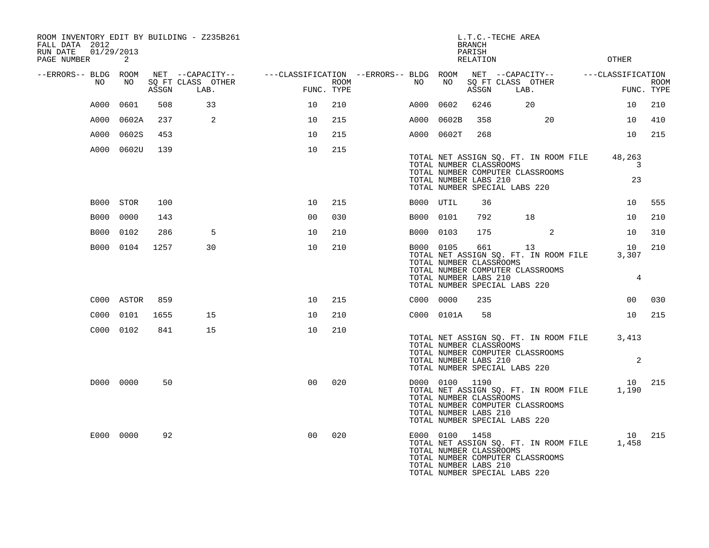| FALL DATA 2012<br>RUN DATE<br>PAGE NUMBER | 01/29/2013  | 2          |       | ROOM INVENTORY EDIT BY BUILDING - Z235B261    |                                                      |      |           |                                                                    | <b>BRANCH</b><br>PARISH<br>RELATION | L.T.C.-TECHE AREA                                                                                                |                   | <b>OTHER</b>                  |             |
|-------------------------------------------|-------------|------------|-------|-----------------------------------------------|------------------------------------------------------|------|-----------|--------------------------------------------------------------------|-------------------------------------|------------------------------------------------------------------------------------------------------------------|-------------------|-------------------------------|-------------|
| --ERRORS-- BLDG ROOM                      | NO          | NO         | ASSGN | NET --CAPACITY--<br>SQ FT CLASS OTHER<br>LAB. | ---CLASSIFICATION --ERRORS-- BLDG ROOM<br>FUNC. TYPE | ROOM | NO        | NO                                                                 | ASSGN                               | NET --CAPACITY--<br>SQ FT CLASS OTHER<br>LAB.                                                                    | ---CLASSIFICATION | FUNC. TYPE                    | <b>ROOM</b> |
|                                           | A000        | 0601       | 508   | 33                                            | 10                                                   | 210  | A000      | 0602                                                               | 6246                                | 20                                                                                                               |                   | 10                            | 210         |
|                                           | A000        | 0602A      | 237   | 2                                             | 10                                                   | 215  | A000      | 0602B                                                              | 358                                 | 20                                                                                                               |                   | 10                            | 410         |
|                                           | A000        | 0602S      | 453   |                                               | 10                                                   | 215  | A000      | 0602T                                                              | 268                                 |                                                                                                                  |                   | 10                            | 215         |
|                                           |             | A000 0602U | 139   |                                               | 10                                                   | 215  |           | TOTAL NUMBER CLASSROOMS<br>TOTAL NUMBER LABS 210                   |                                     | TOTAL NET ASSIGN SQ. FT. IN ROOM FILE<br>TOTAL NUMBER COMPUTER CLASSROOMS<br>TOTAL NUMBER SPECIAL LABS 220       |                   | 48,263<br>3<br>23             |             |
|                                           |             | B000 STOR  | 100   |                                               | 10                                                   | 215  | B000 UTIL |                                                                    | 36                                  |                                                                                                                  |                   | 10                            | 555         |
|                                           | <b>B000</b> | 0000       | 143   |                                               | 0 <sub>0</sub>                                       | 030  | B000 0101 |                                                                    | 792                                 | 18                                                                                                               |                   | 10                            | 210         |
|                                           | <b>B000</b> | 0102       | 286   | 5                                             | 10                                                   | 210  | B000      | 0103                                                               | 175                                 | 2                                                                                                                |                   | 10                            | 310         |
|                                           | B000 0104   |            | 1257  | 30                                            | 10                                                   | 210  | B000 0105 | TOTAL NUMBER CLASSROOMS<br>TOTAL NUMBER LABS 210                   | 661                                 | 13<br>TOTAL NET ASSIGN SQ. FT. IN ROOM FILE<br>TOTAL NUMBER COMPUTER CLASSROOMS<br>TOTAL NUMBER SPECIAL LABS 220 |                   | 10<br>3,307<br>$\overline{4}$ | 210         |
|                                           |             | C000 ASTOR | 859   |                                               | 10                                                   | 215  | C000 0000 |                                                                    | 235                                 |                                                                                                                  |                   | 0 <sub>0</sub>                | 030         |
|                                           | C000        | 0101       | 1655  | 15                                            | 10                                                   | 210  |           | C000 0101A                                                         | 58                                  |                                                                                                                  |                   | 10                            | 215         |
|                                           | C000 0102   |            | 841   | 15                                            | 10                                                   | 210  |           | TOTAL NUMBER CLASSROOMS<br>TOTAL NUMBER LABS 210                   |                                     | TOTAL NET ASSIGN SQ. FT. IN ROOM FILE<br>TOTAL NUMBER COMPUTER CLASSROOMS<br>TOTAL NUMBER SPECIAL LABS 220       |                   | 3,413<br>$\overline{a}$       |             |
|                                           |             | D000 0000  | 50    |                                               | 0 <sup>0</sup>                                       | 020  |           | D000 0100 1190<br>TOTAL NUMBER CLASSROOMS<br>TOTAL NUMBER LABS 210 |                                     | TOTAL NET ASSIGN SQ. FT. IN ROOM FILE 1,190<br>TOTAL NUMBER COMPUTER CLASSROOMS<br>TOTAL NUMBER SPECIAL LABS 220 |                   | 10                            | 215         |
|                                           | E000 0000   |            | 92    |                                               | 0 <sub>0</sub>                                       | 020  |           | E000 0100 1458<br>TOTAL NUMBER CLASSROOMS<br>TOTAL NUMBER LABS 210 |                                     | TOTAL NET ASSIGN SQ. FT. IN ROOM FILE<br>TOTAL NUMBER COMPUTER CLASSROOMS<br>TOTAL NUMBER SPECIAL LABS 220       |                   | 10<br>1,458                   | 215         |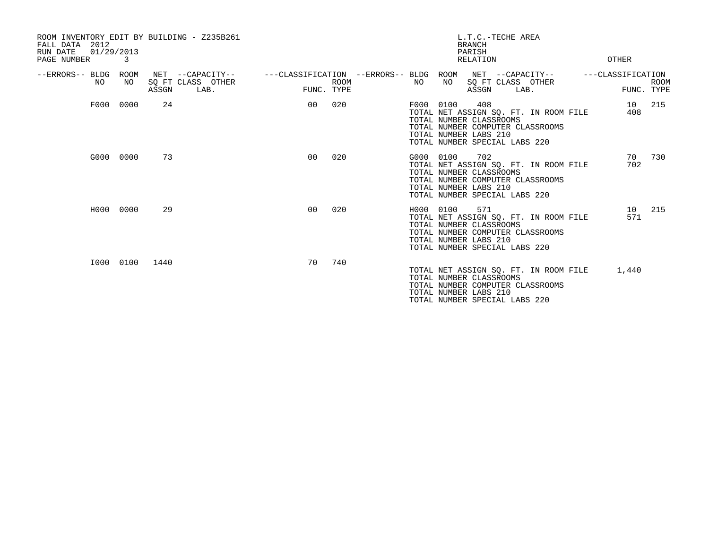| FALL DATA 2012<br>01/29/2013<br>RUN DATE<br>PAGE NUMBER | 3         | ROOM INVENTORY EDIT BY BUILDING - Z235B261             |                |                                                       | L.T.C.-TECHE AREA<br><b>BRANCH</b><br>PARISH<br><b>RELATION</b>                                                                                                                    | OTHER                                          |
|---------------------------------------------------------|-----------|--------------------------------------------------------|----------------|-------------------------------------------------------|------------------------------------------------------------------------------------------------------------------------------------------------------------------------------------|------------------------------------------------|
| --ERRORS-- BLDG ROOM<br>NO                              | NO        | NET --CAPACITY--<br>SQ FT CLASS OTHER<br>ASSGN<br>LAB. | FUNC. TYPE     | ---CLASSIFICATION --ERRORS-- BLDG ROOM<br><b>ROOM</b> | NET --CAPACITY--<br>SQ FT CLASS OTHER<br>NO<br>NO<br>ASSGN<br>LAB.                                                                                                                 | ---CLASSIFICATION<br><b>ROOM</b><br>FUNC. TYPE |
| F000                                                    | 0000      | 24                                                     | 00             | 020                                                   | 408<br>F000 0100<br>TOTAL NET ASSIGN SQ. FT. IN ROOM FILE<br>TOTAL NUMBER CLASSROOMS<br>TOTAL NUMBER COMPUTER CLASSROOMS<br>TOTAL NUMBER LABS 210<br>TOTAL NUMBER SPECIAL LABS 220 | 215<br>10 <sup>1</sup><br>408                  |
|                                                         | G000 0000 | 73                                                     | 0 <sub>0</sub> | 020                                                   | G000 0100<br>702<br>TOTAL NET ASSIGN SO. FT. IN ROOM FILE<br>TOTAL NUMBER CLASSROOMS<br>TOTAL NUMBER COMPUTER CLASSROOMS<br>TOTAL NUMBER LABS 210<br>TOTAL NUMBER SPECIAL LABS 220 | 730<br>70<br>702                               |
| H000                                                    | 0000      | 29                                                     | 0 <sub>0</sub> | 020                                                   | 571<br>H000 0100<br>TOTAL NET ASSIGN SQ. FT. IN ROOM FILE<br>TOTAL NUMBER CLASSROOMS<br>TOTAL NUMBER COMPUTER CLASSROOMS<br>TOTAL NUMBER LABS 210<br>TOTAL NUMBER SPECIAL LABS 220 | 215<br>10<br>571                               |
|                                                         | I000 0100 | 1440                                                   | 70             | 740                                                   | TOTAL NET ASSIGN SQ. FT. IN ROOM FILE<br>TOTAL NUMBER CLASSROOMS<br>TOTAL NUMBER COMPUTER CLASSROOMS<br>TOTAL NUMBER LABS 210<br>TOTAL NUMBER SPECIAL LABS 220                     | 1,440                                          |